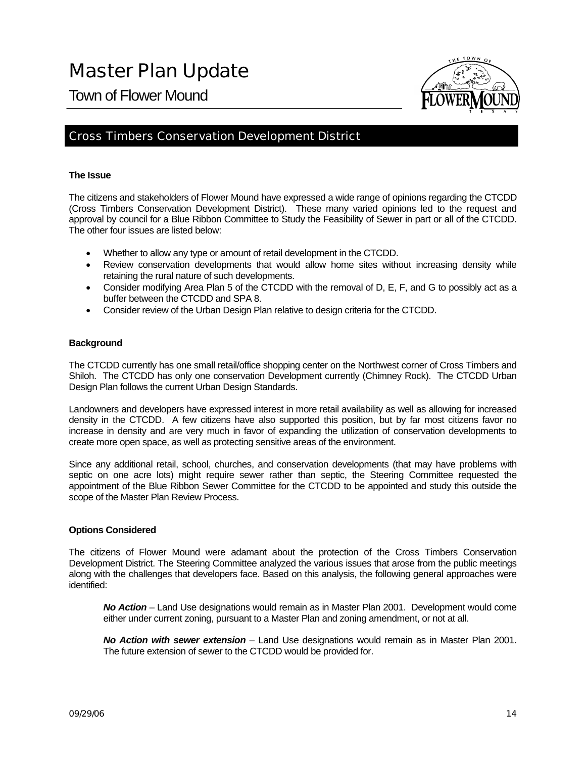Town of Flower Mound



#### Cross Timbers Conservation Development District

#### **The Issue**

The citizens and stakeholders of Flower Mound have expressed a wide range of opinions regarding the CTCDD (Cross Timbers Conservation Development District). These many varied opinions led to the request and approval by council for a Blue Ribbon Committee to Study the Feasibility of Sewer in part or all of the CTCDD. The other four issues are listed below:

- Whether to allow any type or amount of retail development in the CTCDD.
- Review conservation developments that would allow home sites without increasing density while retaining the rural nature of such developments.
- Consider modifying Area Plan 5 of the CTCDD with the removal of D, E, F, and G to possibly act as a buffer between the CTCDD and SPA 8.
- Consider review of the Urban Design Plan relative to design criteria for the CTCDD.

#### **Background**

The CTCDD currently has one small retail/office shopping center on the Northwest corner of Cross Timbers and Shiloh. The CTCDD has only one conservation Development currently (Chimney Rock). The CTCDD Urban Design Plan follows the current Urban Design Standards.

Landowners and developers have expressed interest in more retail availability as well as allowing for increased density in the CTCDD. A few citizens have also supported this position, but by far most citizens favor no increase in density and are very much in favor of expanding the utilization of conservation developments to create more open space, as well as protecting sensitive areas of the environment.

Since any additional retail, school, churches, and conservation developments (that may have problems with septic on one acre lots) might require sewer rather than septic, the Steering Committee requested the appointment of the Blue Ribbon Sewer Committee for the CTCDD to be appointed and study this outside the scope of the Master Plan Review Process.

#### **Options Considered**

The citizens of Flower Mound were adamant about the protection of the Cross Timbers Conservation Development District. The Steering Committee analyzed the various issues that arose from the public meetings along with the challenges that developers face. Based on this analysis, the following general approaches were identified:

*No Action* – Land Use designations would remain as in Master Plan 2001. Development would come either under current zoning, pursuant to a Master Plan and zoning amendment, or not at all.

*No Action with sewer extension* – Land Use designations would remain as in Master Plan 2001. The future extension of sewer to the CTCDD would be provided for.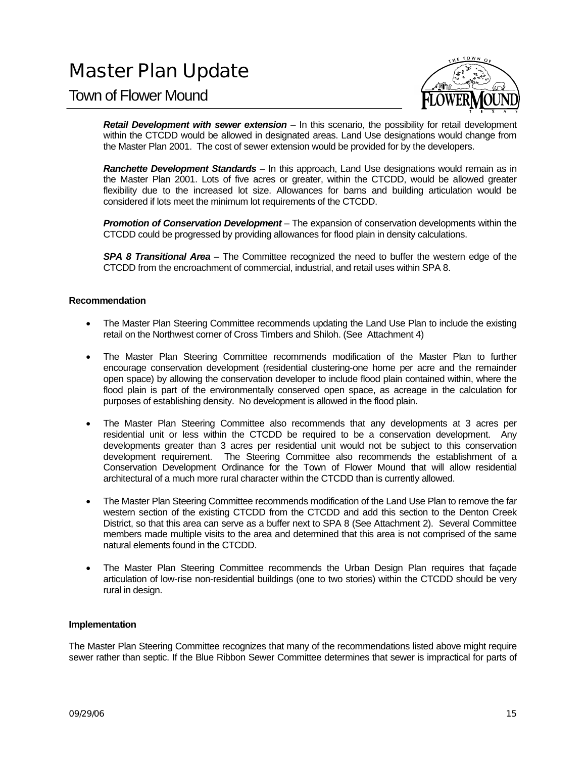### Town of Flower Mound



*Retail Development with sewer extension* – In this scenario, the possibility for retail development within the CTCDD would be allowed in designated areas. Land Use designations would change from the Master Plan 2001. The cost of sewer extension would be provided for by the developers.

*Ranchette Development Standards* – In this approach, Land Use designations would remain as in the Master Plan 2001. Lots of five acres or greater, within the CTCDD, would be allowed greater flexibility due to the increased lot size. Allowances for barns and building articulation would be considered if lots meet the minimum lot requirements of the CTCDD.

**Promotion of Conservation Development** – The expansion of conservation developments within the CTCDD could be progressed by providing allowances for flood plain in density calculations.

*SPA 8 Transitional Area* – The Committee recognized the need to buffer the western edge of the CTCDD from the encroachment of commercial, industrial, and retail uses within SPA 8.

#### **Recommendation**

- The Master Plan Steering Committee recommends updating the Land Use Plan to include the existing retail on the Northwest corner of Cross Timbers and Shiloh. (See Attachment 4)
- The Master Plan Steering Committee recommends modification of the Master Plan to further encourage conservation development (residential clustering-one home per acre and the remainder open space) by allowing the conservation developer to include flood plain contained within, where the flood plain is part of the environmentally conserved open space, as acreage in the calculation for purposes of establishing density. No development is allowed in the flood plain.
- The Master Plan Steering Committee also recommends that any developments at 3 acres per residential unit or less within the CTCDD be required to be a conservation development. Any developments greater than 3 acres per residential unit would not be subject to this conservation development requirement. The Steering Committee also recommends the establishment of a Conservation Development Ordinance for the Town of Flower Mound that will allow residential architectural of a much more rural character within the CTCDD than is currently allowed.
- The Master Plan Steering Committee recommends modification of the Land Use Plan to remove the far western section of the existing CTCDD from the CTCDD and add this section to the Denton Creek District, so that this area can serve as a buffer next to SPA 8 (See Attachment 2). Several Committee members made multiple visits to the area and determined that this area is not comprised of the same natural elements found in the CTCDD.
- The Master Plan Steering Committee recommends the Urban Design Plan requires that façade articulation of low-rise non-residential buildings (one to two stories) within the CTCDD should be very rural in design.

#### **Implementation**

The Master Plan Steering Committee recognizes that many of the recommendations listed above might require sewer rather than septic. If the Blue Ribbon Sewer Committee determines that sewer is impractical for parts of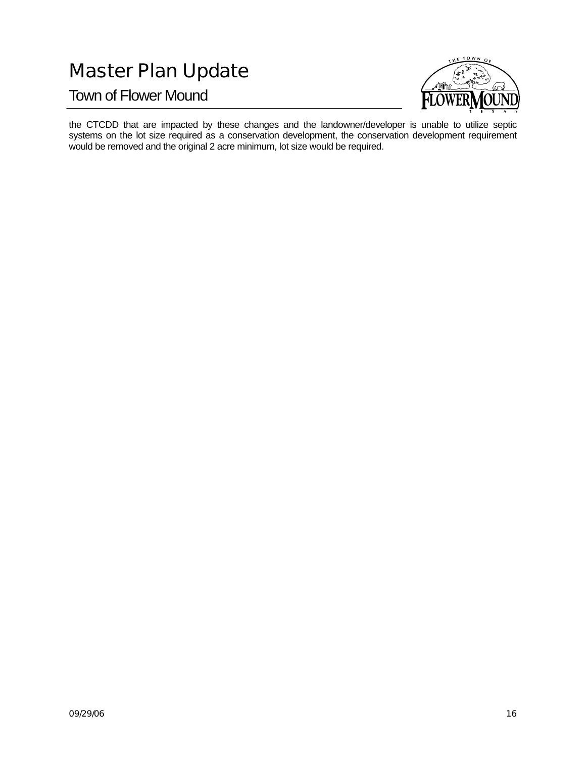Town of Flower Mound



the CTCDD that are impacted by these changes and the landowner/developer is unable to utilize septic systems on the lot size required as a conservation development, the conservation development requirement would be removed and the original 2 acre minimum, lot size would be required.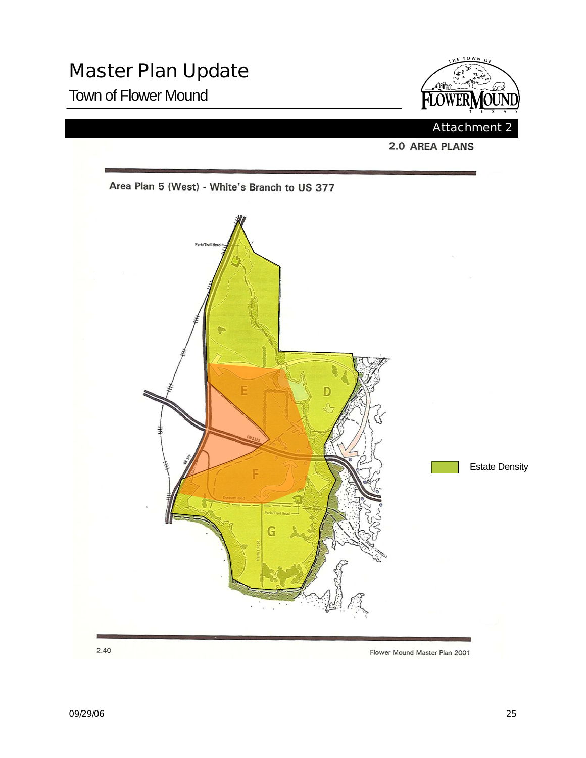## Town of Flower Mound